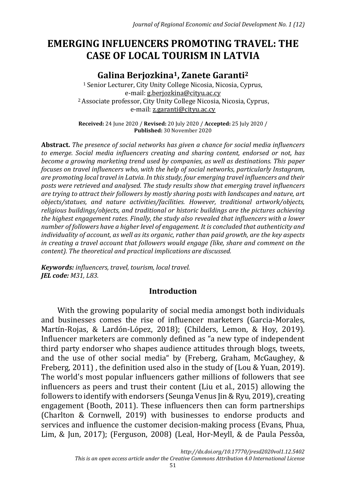# **EMERGING INFLUENCERS PROMOTING TRAVEL: THE CASE OF LOCAL TOURISM IN LATVIA**

# **Galina Berjozkina1, Zanete Garanti<sup>2</sup>**

<sup>1</sup> Senior Lecturer, City Unity College Nicosia, Nicosia, Cyprus, e-mail: [g.berjozkina@cityu.ac.cy](mailto:g.berjozkina@cityu.ac.cy) <sup>2</sup>Associate professor, City Unity College Nicosia, Nicosia, Cyprus, e-mail[: z.garanti@cityu.ac.cy](mailto:z.garanti@cityu.ac.cy)

**Received:** 24 June 2020 / **Revised:** 20 July 2020 / **Accepted:** 25 July 2020 / **Published:** 30 November 2020

**Abstract.** *The presence of social networks has given a chance for social media influencers to emerge. Social media influencers creating and sharing content, endorsed or not, has become a growing marketing trend used by companies, as well as destinations. This paper focuses on travel influencers who, with the help of social networks, particularly Instagram, are promoting local travel in Latvia. In this study, four emerging travel influencers and their posts were retrieved and analysed. The study results show that emerging travel influencers are trying to attract their followers by mostly sharing posts with landscapes and nature, art objects/statues, and nature activities/facilities. However, traditional artwork/objects, religious buildings/objects, and traditional or historic buildings are the pictures achieving the highest engagement rates. Finally, the study also revealed that influencers with a lower number of followers have a higher level of engagement. It is concluded that authenticity and individuality of account, as well as its organic, rather than paid growth, are the key aspects in creating a travel account that followers would engage (like, share and comment on the content). The theoretical and practical implications are discussed.*

*Keywords: influencers, travel, tourism, local travel. JEL code: M31, L83.*

#### **Introduction**

With the growing popularity of social media amongst both individuals and businesses comes the rise of influencer marketers (Garcia-Morales, Martín-Rojas, & Lardón-López, 2018); (Childers, Lemon, & Hoy, 2019). Influencer marketers are commonly defined as "a new type of independent third party endorser who shapes audience attitudes through blogs, tweets, and the use of other social media" by (Freberg, Graham, McGaughey, & Freberg, 2011) , the definition used also in the study of (Lou & Yuan, 2019). The world's most popular influencers gather millions of followers that see influencers as peers and trust their content (Liu et al., 2015) allowing the followers to identify with endorsers (Seunga Venus Jin & Ryu, 2019), creating engagement (Booth, 2011). These influencers then can form partnerships (Charlton & Cornwell, 2019) with businesses to endorse products and services and influence the customer decision-making process (Evans, Phua, Lim, & Jun, 2017); (Ferguson, 2008) (Leal, Hor-Meyll, & de Paula Pessôa,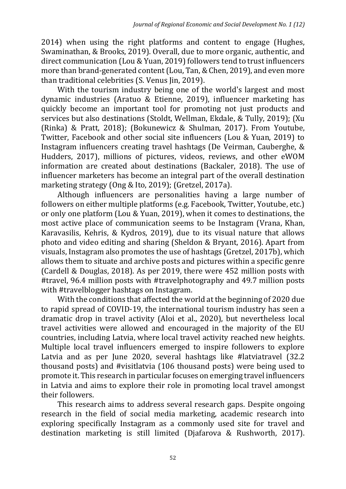2014) when using the right platforms and content to engage (Hughes, Swaminathan, & Brooks, 2019). Overall, due to more organic, authentic, and direct communication (Lou & Yuan, 2019) followers tend to trust influencers more than brand-generated content (Lou, Tan, & Chen, 2019), and even more than traditional celebrities (S. Venus Jin, 2019).

With the tourism industry being one of the world's largest and most dynamic industries (Aratuo & Etienne, 2019), influencer marketing has quickly become an important tool for promoting not just products and services but also destinations (Stoldt, Wellman, Ekdale, & Tully, 2019); (Xu (Rinka) & Pratt, 2018); (Bokunewicz & Shulman, 2017). From Youtube, Twitter, Facebook and other social site influencers (Lou & Yuan, 2019) to Instagram influencers creating travel hashtags (De Veirman, Cauberghe, & Hudders, 2017), millions of pictures, videos, reviews, and other eWOM information are created about destinations (Backaler, 2018). The use of influencer marketers has become an integral part of the overall destination marketing strategy (Ong & Ito, 2019); (Gretzel, 2017a).

Although influencers are personalities having a large number of followers on either multiple platforms (e.g. Facebook, Twitter, Youtube, etc.) or only one platform (Lou & Yuan, 2019), when it comes to destinations, the most active place of communication seems to be Instagram (Vrana, Khan, Karavasilis, Kehris, & Kydros, 2019), due to its visual nature that allows photo and video editing and sharing (Sheldon & Bryant, 2016). Apart from visuals, Instagram also promotes the use of hashtags (Gretzel, 2017b), which allows them to situate and archive posts and pictures within a specific genre (Cardell & Douglas, 2018). As per 2019, there were 452 million posts with #travel, 96.4 million posts with #travelphotography and 49.7 million posts with #travelblogger hashtags on Instagram.

With the conditions that affected the world at the beginning of 2020 due to rapid spread of COVID-19, the international tourism industry has seen a dramatic drop in travel activity (Aloi et al., 2020), but nevertheless local travel activities were allowed and encouraged in the majority of the EU countries, including Latvia, where local travel activity reached new heights. Multiple local travel influencers emerged to inspire followers to explore Latvia and as per June 2020, several hashtags like #latviatravel (32.2 thousand posts) and #visitlatvia (106 thousand posts) were being used to promote it. This research in particular focuses on emerging travel influencers in Latvia and aims to explore their role in promoting local travel amongst their followers.

This research aims to address several research gaps. Despite ongoing research in the field of social media marketing, academic research into exploring specifically Instagram as a commonly used site for travel and destination marketing is still limited (Djafarova & Rushworth, 2017).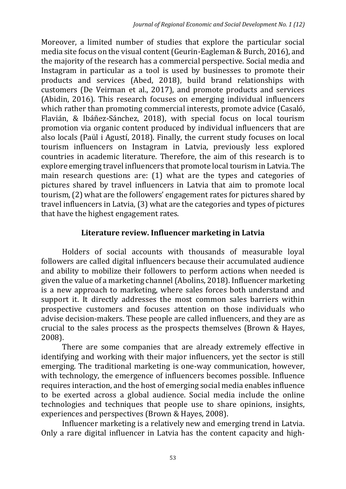Moreover, a limited number of studies that explore the particular social media site focus on the visual content (Geurin-Eagleman & Burch, 2016), and the majority of the research has a commercial perspective. Social media and Instagram in particular as a tool is used by businesses to promote their products and services (Abed, 2018), build brand relationships with customers (De Veirman et al., 2017), and promote products and services (Abidin, 2016). This research focuses on emerging individual influencers which rather than promoting commercial interests, promote advice (Casaló, Flavián, & Ibáñez-Sánchez, 2018), with special focus on local tourism promotion via organic content produced by individual influencers that are also locals (Paül i Agustí, 2018). Finally, the current study focuses on local tourism influencers on Instagram in Latvia, previously less explored countries in academic literature. Therefore, the aim of this research is to explore emerging travel influencers that promote local tourism in Latvia. The main research questions are: (1) what are the types and categories of pictures shared by travel influencers in Latvia that aim to promote local tourism, (2) what are the followers' engagement rates for pictures shared by travel influencers in Latvia, (3) what are the categories and types of pictures that have the highest engagement rates.

## **Literature review. Influencer marketing in Latvia**

Holders of social accounts with thousands of measurable loyal followers are called digital influencers because their accumulated audience and ability to mobilize their followers to perform actions when needed is given the value of a marketing channel (Abolins, 2018). Influencer marketing is a new approach to marketing, where sales forces both understand and support it. It directly addresses the most common sales barriers within prospective customers and focuses attention on those individuals who advise decision-makers. These people are called influencers, and they are as crucial to the sales process as the prospects themselves (Brown & Hayes, 2008).

There are some companies that are already extremely effective in identifying and working with their major influencers, yet the sector is still emerging. The traditional marketing is one-way communication, however, with technology, the emergence of influencers becomes possible. Influence requires interaction, and the host of emerging social media enables influence to be exerted across a global audience. Social media include the online technologies and techniques that people use to share opinions, insights, experiences and perspectives (Brown & Hayes, 2008).

Influencer marketing is a relatively new and emerging trend in Latvia. Only a rare digital influencer in Latvia has the content capacity and high-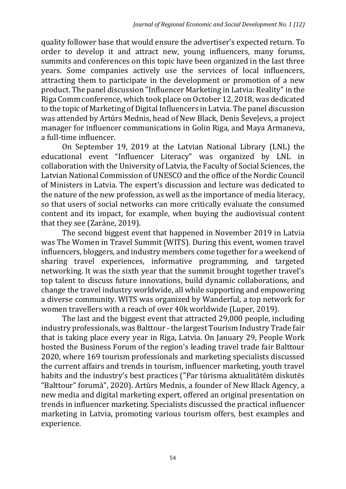quality follower base that would ensure the advertiser's expected return. To order to develop it and attract new, young influencers, many forums, summits and conferences on this topic have been organized in the last three years. Some companies actively use the services of local influencers, attracting them to participate in the development or promotion of a new product. The panel discussion "Influencer Marketing in Latvia: Reality"in the Riga Comm conference, which took place on October 12, 2018, was dedicated to the topic of Marketing of Digital Influencers in Latvia. The panel discussion was attended by Artūrs Mednis, head of New Black, Denis Ševeļevs, a project manager for influencer communications in Golin Riga, and Maya Armaneva, a full-time influencer.

On September 19, 2019 at the Latvian National Library (LNL) the educational event "Influencer Literacy" was organized by LNL in collaboration with the University of Latvia, the Faculty of Social Sciences, the Latvian National Commission of UNESCO and the office of the Nordic Council of Ministers in Latvia. The expert's discussion and lecture was dedicated to the nature of the new profession, as well as the importance of media literacy, so that users of social networks can more critically evaluate the consumed content and its impact, for example, when buying the audiovisual content that they see (Zarāne, 2019).

The second biggest event that happened in November 2019 in Latvia was The Women in Travel Summit (WITS). During this event, women travel influencers, bloggers, and industry members come together for a weekend of sharing travel experiences, informative programming, and targeted networking. It was the sixth year that the summit brought together travel's top talent to discuss future innovations, build dynamic collaborations, and change the travel industry worldwide, all while supporting and empowering a diverse community. WITS was organized by Wanderful, a top network for women travellers with a reach of over 40k worldwide (Luper, 2019).

The last and the biggest event that attracted 29,000 people, including industry professionals, was Balttour - the largest Tourism Industry Trade fair that is taking place every year in Riga, Latvia. On January 29, People Work hosted the Business Forum of the region's leading travel trade fair Balttour 2020, where 169 tourism professionals and marketing specialists discussed the current affairs and trends in tourism, influencer marketing, youth travel habits and the industry's best practices ("Par tūrisma aktualitātēm diskutēs "Balttour" forumā", 2020). Artūrs Mednis, a founder of New Black Agency, a new media and digital marketing expert, offered an original presentation on trends in influencer marketing. Specialists discussed the practical influencer marketing in Latvia, promoting various tourism offers, best examples and experience.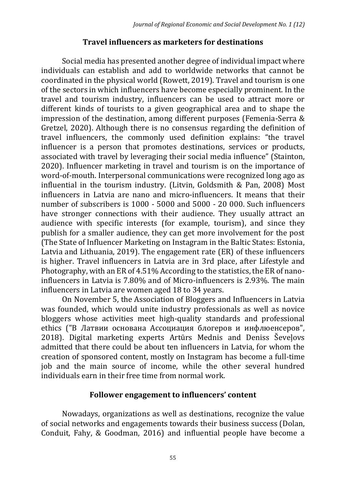#### **Travel influencers as marketers for destinations**

Social media has presented another degree of individual impact where individuals can establish and add to worldwide networks that cannot be coordinated in the physical world (Rowett, 2019). Travel and tourism is one of the sectors in which influencers have become especially prominent. In the travel and tourism industry, influencers can be used to attract more or different kinds of tourists to a given geographical area and to shape the impression of the destination, among different purposes (Femenia-Serra & Gretzel, 2020). Although there is no consensus regarding the definition of travel influencers, the commonly used definition explains: "the travel influencer is a person that promotes destinations, services or products, associated with travel by leveraging their social media influence" (Stainton, 2020). Influencer marketing in travel and tourism is on the importance of word-of-mouth. Interpersonal communications were recognized long ago as influential in the tourism industry. (Litvin, Goldsmith & Pan, 2008) Most influencers in Latvia are nano and micro-influencers. It means that their number of subscribers is 1000 - 5000 and 5000 - 20 000. Such influencers have stronger connections with their audience. They usually attract an audience with specific interests (for example, tourism), and since they publish for a smaller audience, they can get more involvement for the post (The State of Influencer Marketing on Instagram in the Baltic States: Estonia, Latvia and Lithuania, 2019). The engagement rate (ER) of these influencers is higher. Travel influencers in Latvia are in 3rd place, after Lifestyle and Photography, with an ER of 4.51% According to the statistics, the ER of nanoinfluencers in Latvia is 7.80% and of Micro-influencers is 2.93%. The main influencers in Latvia are women aged 18 to 34 years.

On November 5, the Association of Bloggers and Influencers in Latvia was founded, which would unite industry professionals as well as novice bloggers whose activities meet high-quality standards and professional ethics ("В Латвии основана Ассоциация блогеров и инфлюенсеров", 2018). Digital marketing experts Artūrs Mednis and Deniss Ševeļovs admitted that there could be about ten influencers in Latvia, for whom the creation of sponsored content, mostly on Instagram has become a full-time job and the main source of income, while the other several hundred individuals earn in their free time from normal work.

#### **Follower engagement to influencers' content**

Nowadays, organizations as well as destinations, recognize the value of social networks and engagements towards their business success (Dolan, Conduit, Fahy, & Goodman, 2016) and influential people have become a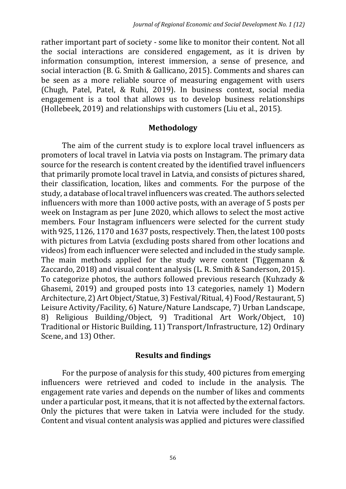rather important part of society - some like to monitor their content. Not all the social interactions are considered engagement, as it is driven by information consumption, interest immersion, a sense of presence, and social interaction (B. G. Smith & Gallicano, 2015). Comments and shares can be seen as a more reliable source of measuring engagement with users (Chugh, Patel, Patel, & Ruhi, 2019). In business context, social media engagement is a tool that allows us to develop business relationships (Hollebeek, 2019) and relationships with customers (Liu et al., 2015).

#### **Methodology**

The aim of the current study is to explore local travel influencers as promoters of local travel in Latvia via posts on Instagram. The primary data source for the research is content created by the identified travel influencers that primarily promote local travel in Latvia, and consists of pictures shared, their classification, location, likes and comments. For the purpose of the study, a database of local travel influencers was created. The authors selected influencers with more than 1000 active posts, with an average of 5 posts per week on Instagram as per June 2020, which allows to select the most active members. Four Instagram influencers were selected for the current study with 925, 1126, 1170 and 1637 posts, respectively. Then, the latest 100 posts with pictures from Latvia (excluding posts shared from other locations and videos) from each influencer were selected and included in the study sample. The main methods applied for the study were content (Tiggemann & Zaccardo, 2018) and visual content analysis (L. R. Smith & Sanderson, 2015). To categorize photos, the authors followed previous research (Kuhzady & Ghasemi, 2019) and grouped posts into 13 categories, namely 1) Modern Architecture, 2) Art Object/Statue, 3) Festival/Ritual, 4) Food/Restaurant, 5) Leisure Activity/Facility, 6) Nature/Nature Landscape, 7) Urban Landscape, 8) Religious Building/Object, 9) Traditional Art Work/Object, 10) Traditional or Historic Building, 11) Transport/Infrastructure, 12) Ordinary Scene, and 13) Other.

#### **Results and findings**

For the purpose of analysis for this study, 400 pictures from emerging influencers were retrieved and coded to include in the analysis. The engagement rate varies and depends on the number of likes and comments under a particular post, it means, that it is not affected by the external factors. Only the pictures that were taken in Latvia were included for the study. Content and visual content analysis was applied and pictures were classified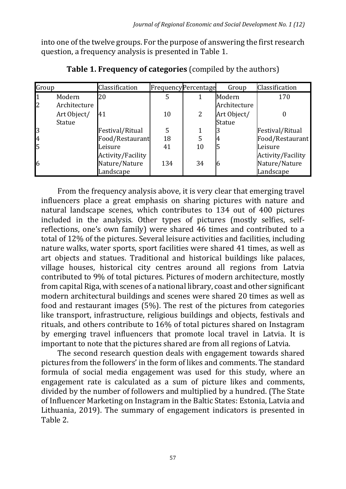into one of the twelve groups. For the purpose of answering the first research question, a frequency analysis is presented in Table 1.

| Group |              | Classification    |     | FrequencyPercentage | Group         | Classification           |
|-------|--------------|-------------------|-----|---------------------|---------------|--------------------------|
|       | Modern       | 20                | 5   |                     | Modern        | 170                      |
| 2     | Architecture |                   |     |                     | Architecture  |                          |
|       | Art Object/  | 41                | 10  | 2                   | Art Object/   |                          |
|       | Statue       |                   |     |                     | <b>Statue</b> |                          |
| 3     |              | Festival/Ritual   | 5   |                     |               | Festival/Ritual          |
| 4     |              | Food/Restaurant   | 18  | 5                   | 4             | Food/Restaurant          |
|       |              | Leisure           | 41  | 10                  |               | Leisure                  |
|       |              | Activity/Facility |     |                     |               | <b>Activity/Facility</b> |
| 16    |              | Nature/Nature     | 134 | 34                  | 16            | Nature/Nature            |
|       |              | Landscape         |     |                     |               | Landscape                |

**Table 1. Frequency of categories** (compiled by the authors)

From the frequency analysis above, it is very clear that emerging travel influencers place a great emphasis on sharing pictures with nature and natural landscape scenes, which contributes to 134 out of 400 pictures included in the analysis. Other types of pictures (mostly selfies, selfreflections, one's own family) were shared 46 times and contributed to a total of 12% of the pictures. Several leisure activities and facilities, including nature walks, water sports, sport facilities were shared 41 times, as well as art objects and statues. Traditional and historical buildings like palaces, village houses, historical city centres around all regions from Latvia contributed to 9% of total pictures. Pictures of modern architecture, mostly from capital Riga, with scenes of a national library, coast and other significant modern architectural buildings and scenes were shared 20 times as well as food and restaurant images (5%). The rest of the pictures from categories like transport, infrastructure, religious buildings and objects, festivals and rituals, and others contribute to 16% of total pictures shared on Instagram by emerging travel influencers that promote local travel in Latvia. It is important to note that the pictures shared are from all regions of Latvia.

The second research question deals with engagement towards shared pictures from the followers' in the form of likes and comments. The standard formula of social media engagement was used for this study, where an engagement rate is calculated as a sum of picture likes and comments, divided by the number of followers and multiplied by a hundred. (The State of Influencer Marketing on Instagram in the Baltic States: Estonia, Latvia and Lithuania, 2019). The summary of engagement indicators is presented in Table 2.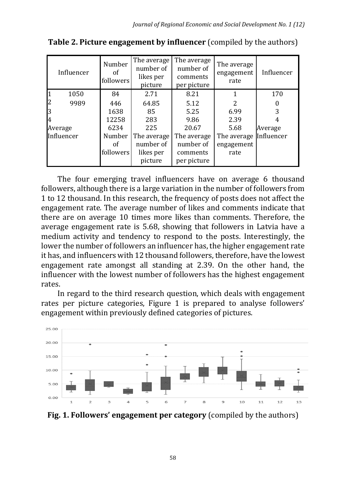| Influencer | Number<br><sub>of</sub><br>followers | The average<br>number of<br>likes per<br>picture | The average<br>number of<br>comments<br>per picture | The average<br>engagement<br>rate | Influencer |
|------------|--------------------------------------|--------------------------------------------------|-----------------------------------------------------|-----------------------------------|------------|
| 1050       | 84                                   | 2.71                                             | 8.21                                                |                                   | 170        |
| 2<br>9989  | 446                                  | 64.85                                            | 5.12                                                | 2                                 |            |
| 3          | 1638                                 | 85                                               | 5.25                                                | 6.99                              | 3          |
| l4         | 12258                                | 283                                              | 9.86                                                | 2.39                              |            |
| Average    | 6234                                 | 225                                              | 20.67                                               | 5.68                              | Average    |
| Influencer | Number                               | The average                                      | The average                                         | The average                       | Influencer |
|            | Ωf                                   | number of                                        | number of                                           | engagement                        |            |
|            | followers                            | likes per                                        | comments                                            | rate                              |            |
|            |                                      | picture                                          | per picture                                         |                                   |            |

**Table 2. Picture engagement by influencer** (compiled by the authors)

The four emerging travel influencers have on average 6 thousand followers, although there is a large variation in the number of followers from 1 to 12 thousand. In this research, the frequency of posts does not affect the engagement rate. The average number of likes and comments indicate that there are on average 10 times more likes than comments. Therefore, the average engagement rate is 5.68, showing that followers in Latvia have a medium activity and tendency to respond to the posts. Interestingly, the lower the number of followers an influencer has, the higher engagement rate it has, and influencers with 12 thousand followers, therefore, have the lowest engagement rate amongst all standing at 2.39. On the other hand, the influencer with the lowest number of followers has the highest engagement rates.

In regard to the third research question, which deals with engagement rates per picture categories, Figure 1 is prepared to analyse followers' engagement within previously defined categories of pictures.



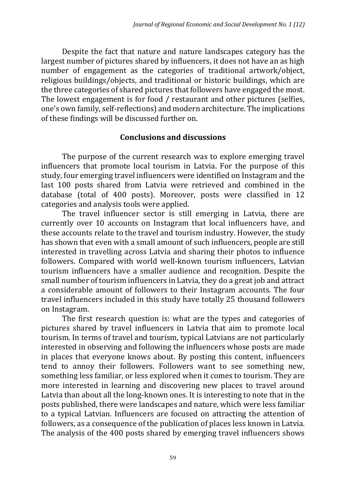Despite the fact that nature and nature landscapes category has the largest number of pictures shared by influencers, it does not have an as high number of engagement as the categories of traditional artwork/object, religious buildings/objects, and traditional or historic buildings, which are the three categories of shared pictures that followers have engaged the most. The lowest engagement is for food / restaurant and other pictures (selfies, one's own family, self-reflections) and modern architecture. The implications of these findings will be discussed further on.

### **Conclusions and discussions**

The purpose of the current research was to explore emerging travel influencers that promote local tourism in Latvia. For the purpose of this study, four emerging travel influencers were identified on Instagram and the last 100 posts shared from Latvia were retrieved and combined in the database (total of 400 posts). Moreover, posts were classified in 12 categories and analysis tools were applied.

The travel influencer sector is still emerging in Latvia, there are currently over 10 accounts on Instagram that local influencers have, and these accounts relate to the travel and tourism industry. However, the study has shown that even with a small amount of such influencers, people are still interested in travelling across Latvia and sharing their photos to influence followers. Compared with world well-known tourism influencers, Latvian tourism influencers have a smaller audience and recognition. Despite the small number of tourism influencers in Latvia, they do a great job and attract a considerable amount of followers to their Instagram accounts. The four travel influencers included in this study have totally 25 thousand followers on Instagram.

The first research question is: what are the types and categories of pictures shared by travel influencers in Latvia that aim to promote local tourism. In terms of travel and tourism, typical Latvians are not particularly interested in observing and following the influencers whose posts are made in places that everyone knows about. By posting this content, influencers tend to annoy their followers. Followers want to see something new, something less familiar, or less explored when it comes to tourism. They are more interested in learning and discovering new places to travel around Latvia than about all the long-known ones. It is interesting to note that in the posts published, there were landscapes and nature, which were less familiar to a typical Latvian. Influencers are focused on attracting the attention of followers, as a consequence of the publication of places less known in Latvia. The analysis of the 400 posts shared by emerging travel influencers shows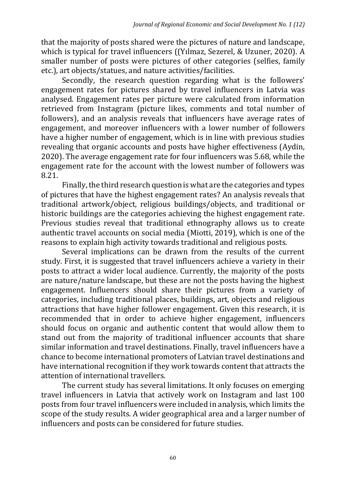that the majority of posts shared were the pictures of nature and landscape, which is typical for travel influencers ((Yılmaz, Sezerel, & Uzuner, 2020). A smaller number of posts were pictures of other categories (selfies, family etc.), art objects/statues, and nature activities/facilities.

Secondly, the research question regarding what is the followers' engagement rates for pictures shared by travel influencers in Latvia was analysed. Engagement rates per picture were calculated from information retrieved from Instagram (picture likes, comments and total number of followers), and an analysis reveals that influencers have average rates of engagement, and moreover influencers with a lower number of followers have a higher number of engagement, which is in line with previous studies revealing that organic accounts and posts have higher effectiveness (Aydin, 2020). The average engagement rate for four influencers was 5.68, while the engagement rate for the account with the lowest number of followers was 8.21.

Finally, the third research question is what are the categories and types of pictures that have the highest engagement rates? An analysis reveals that traditional artwork/object, religious buildings/objects, and traditional or historic buildings are the categories achieving the highest engagement rate. Previous studies reveal that traditional ethnography allows us to create authentic travel accounts on social media (Miotti, 2019), which is one of the reasons to explain high activity towards traditional and religious posts.

Several implications can be drawn from the results of the current study. First, it is suggested that travel influencers achieve a variety in their posts to attract a wider local audience. Currently, the majority of the posts are nature/nature landscape, but these are not the posts having the highest engagement. Influencers should share their pictures from a variety of categories, including traditional places, buildings, art, objects and religious attractions that have higher follower engagement. Given this research, it is recommended that in order to achieve higher engagement, influencers should focus on organic and authentic content that would allow them to stand out from the majority of traditional influencer accounts that share similar information and travel destinations. Finally, travel influencers have a chance to become international promoters of Latvian travel destinations and have international recognition if they work towards content that attracts the attention of international travellers.

The current study has several limitations. It only focuses on emerging travel influencers in Latvia that actively work on Instagram and last 100 posts from four travel influencers were included in analysis, which limits the scope of the study results. A wider geographical area and a larger number of influencers and posts can be considered for future studies.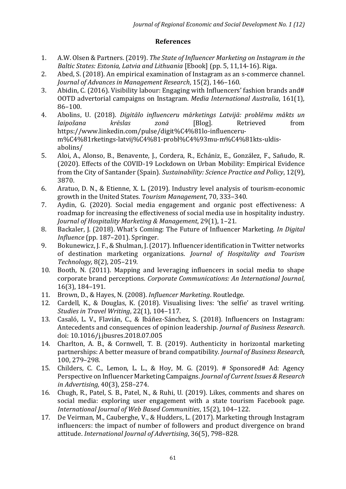#### **References**

- 1. A.W. Olsen & Partners. (2019). *The State of Influencer Marketing on Instagram in the Baltic States: Estonia, Latvia and Lithuania* [Ebook] (pp. 5, 11,14-16). Riga.
- 2. Abed, S. (2018). An empirical examination of Instagram as an s-commerce channel. *Journal of Advances in Management Research*, 15(2), 146–160.
- 3. Abidin, C. (2016). Visibility labour: Engaging with Influencers' fashion brands and# OOTD advertorial campaigns on Instagram. *Media International Australia*, 161(1), 86–100.
- 4. Abolins, U. (2018). *Digitālo influenceru mārketings Latvijā: problēmu mākts un laipošana krēslas zonā* [Blog]. Retrieved from https://www.linkedin.com/pulse/digit%C4%81lo-influencerum%C4%81rketings-latvij%C4%81-probl%C4%93mu-m%C4%81kts-uldisabolins/
- 5. Aloi, A., Alonso, B., Benavente, J., Cordera, R., Echániz, E., González, F., Sañudo, R. (2020). Effects of the COVID-19 Lockdown on Urban Mobility: Empirical Evidence from the City of Santander (Spain). *Sustainability: Science Practice and Policy*, 12(9), 3870.
- 6. Aratuo, D. N., & Etienne, X. L. (2019). Industry level analysis of tourism-economic growth in the United States. *Tourism Management*, 70, 333–340.
- 7. Aydin, G. (2020). Social media engagement and organic post effectiveness: A roadmap for increasing the effectiveness of social media use in hospitality industry. *Journal of Hospitality Marketing & Management*, 29(1), 1–21.
- 8. Backaler, J. (2018). What's Coming: The Future of Influencer Marketing. *In Digital Influence* (pp. 187–201). Springer.
- 9. Bokunewicz, J. F., & Shulman, J. (2017). Influencer identification in Twitter networks of destination marketing organizations. *Journal of Hospitality and Tourism Technology,* 8(2), 205–219.
- 10. Booth, N. (2011). Mapping and leveraging influencers in social media to shape corporate brand perceptions. *Corporate Communications: An International Journal*, 16(3), 184–191.
- 11. Brown, D., & Hayes, N. (2008). *Influencer Marketing*. Routledge.
- 12. Cardell, K., & Douglas, K. (2018). Visualising lives: 'the selfie' as travel writing. *Studies in Travel Writing*, 22(1), 104–117.
- 13. Casaló, L. V., Flavián, C., & Ibáñez-Sánchez, S. (2018). Influencers on Instagram: Antecedents and consequences of opinion leadership. *Journal of Business Research*. doi: 10.1016/j.jbusres.2018.07.005
- 14. Charlton, A. B., & Cornwell, T. B. (2019). Authenticity in horizontal marketing partnerships: A better measure of brand compatibility. *Journal of Business Research,* 100, 279–298.
- 15. Childers, C. C., Lemon, L. L., & Hoy, M. G. (2019). # Sponsored# Ad: Agency Perspective on Influencer Marketing Campaigns. *Journal of Current Issues & Research in Advertising,* 40(3), 258–274.
- 16. Chugh, R., Patel, S. B., Patel, N., & Ruhi, U. (2019). Likes, comments and shares on social media: exploring user engagement with a state tourism Facebook page. *International Journal of Web Based Communities*, 15(2), 104–122.
- 17. De Veirman, M., Cauberghe, V., & Hudders, L. (2017). Marketing through Instagram influencers: the impact of number of followers and product divergence on brand attitude. *International Journal of Advertising*, 36(5), 798–828.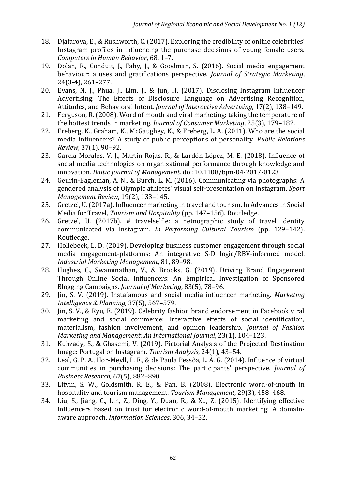- 18. Djafarova, E., & Rushworth, C. (2017). Exploring the credibility of online celebrities' Instagram profiles in influencing the purchase decisions of young female users. *Computers in Human Behavior*, 68, 1–7.
- 19. Dolan, R., Conduit, J., Fahy, J., & Goodman, S. (2016). Social media engagement behaviour: a uses and gratifications perspective. *Journal of Strategic Marketing*, 24(3-4), 261–277.
- 20. Evans, N. J., Phua, J., Lim, J., & Jun, H. (2017). Disclosing Instagram Influencer Advertising: The Effects of Disclosure Language on Advertising Recognition, Attitudes, and Behavioral Intent*. Journal of Interactive Advertising*, 17(2), 138–149.
- 21. Ferguson, R. (2008). Word of mouth and viral marketing: taking the temperature of the hottest trends in marketing*. Journal of Consumer Marketing*, 25(3), 179–182.
- 22. Freberg, K., Graham, K., McGaughey, K., & Freberg, L. A. (2011). Who are the social media influencers? A study of public perceptions of personality. *Public Relations Review,* 37(1), 90–92.
- 23. Garcia-Morales, V. J., Martín-Rojas, R., & Lardón-López, M. E. (2018). Influence of social media technologies on organizational performance through knowledge and innovation. *Baltic Journal of Management*. doi:10.1108/bjm-04-2017-0123
- 24. Geurin-Eagleman, A. N., & Burch, L. M. (2016). Communicating via photographs: A gendered analysis of Olympic athletes' visual self-presentation on Instagram. *Sport Management Review*, 19(2), 133–145.
- 25. Gretzel, U. (2017a). Influencer marketing in travel and tourism. In Advances in Social Media for Travel, *Tourism and Hospitality* (pp. 147–156). Routledge.
- 26. Gretzel, U. (2017b). # travelselfie: a netnographic study of travel identity communicated via Instagram. *In Performing Cultural Tourism* (pp. 129–142). Routledge.
- 27. Hollebeek, L. D. (2019). Developing business customer engagement through social media engagement-platforms: An integrative S-D logic/RBV-informed model. *Industrial Marketing Management*, 81, 89–98.
- 28. Hughes, C., Swaminathan, V., & Brooks, G. (2019). Driving Brand Engagement Through Online Social Influencers: An Empirical Investigation of Sponsored Blogging Campaigns. *Journal of Marketing*, 83(5), 78–96.
- 29. Jin, S. V. (2019). Instafamous and social media influencer marketing. *Marketing Intelligence & Planning,* 37(5), 567–579.
- 30. Jin, S. V., & Ryu, E. (2019). Celebrity fashion brand endorsement in Facebook viral marketing and social commerce: Interactive effects of social identification, materialism, fashion involvement, and opinion leadership. *Journal of Fashion Marketing and Management: An International Journal*, 23(1), 104–123.
- 31. Kuhzady, S., & Ghasemi, V. (2019). Pictorial Analysis of the Projected Destination Image: Portugal on Instagram. *Tourism Analysis*, 24(1), 43–54.
- 32. Leal, G. P. A., Hor-Meyll, L. F., & de Paula Pessôa, L. A. G. (2014). Influence of virtual communities in purchasing decisions: The participants' perspective. *Journal of Business Research,* 67(5), 882–890.
- 33. Litvin, S. W., Goldsmith, R. E., & Pan, B. (2008). Electronic word-of-mouth in hospitality and tourism management. *Tourism Management*, 29(3), 458–468.
- 34. Liu, S., Jiang, C., Lin, Z., Ding, Y., Duan, R., & Xu, Z. (2015). Identifying effective influencers based on trust for electronic word-of-mouth marketing: A domainaware approach. *Information Sciences*, 306, 34–52.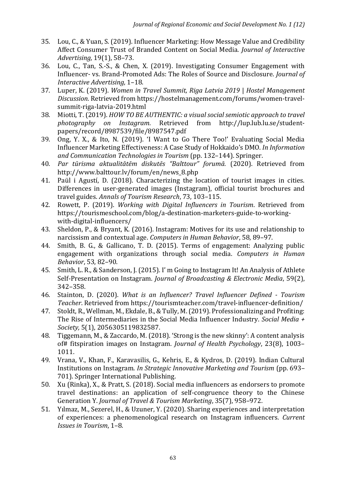- 35. Lou, C., & Yuan, S. (2019). Influencer Marketing: How Message Value and Credibility Affect Consumer Trust of Branded Content on Social Media. *Journal of Interactive Advertising,* 19(1), 58–73.
- 36. Lou, C., Tan, S.-S., & Chen, X. (2019). Investigating Consumer Engagement with Influencer- vs. Brand-Promoted Ads: The Roles of Source and Disclosure. *Journal of Interactive Advertising,* 1–18.
- 37. Luper, K. (2019). *Women in Travel Summit, Riga Latvia 2019* | *Hostel Management Discussion.* Retrieved from https://hostelmanagement.com/forums/women-travelsummit-riga-latvia-2019.html
- 38. Miotti, T. (2019). *HOW TO BE AUTHENTIC: a visual social semiotic approach to travel photography on Instagram*. Retrieved from http://lup.lub.lu.se/studentpapers/record/8987539/file/8987547.pdf
- 39. Ong, Y. X., & Ito, N. (2019). 'I Want to Go There Too!' Evaluating Social Media Influencer Marketing Effectiveness: A Case Study of Hokkaido's DMO. *In Information and Communication Technologies in Tourism* (pp. 132–144). Springer.
- 40. *Par tūrisma aktualitātēm diskutēs "Balttour" forumā.* (2020). Retrieved from http://www.balttour.lv/forum/en/news\_8.php
- 41. Paül i Agustí, D. (2018). Characterizing the location of tourist images in cities. Differences in user-generated images (Instagram), official tourist brochures and travel guides. *Annals of Tourism Research*, 73, 103–115.
- 42. Rowett, P. (2019). *Working with Digital Influencers in Tourism*. Retrieved from https://tourismeschool.com/blog/a-destination-marketers-guide-to-workingwith-digital-influencers/
- 43. Sheldon, P., & Bryant, K. (2016). Instagram: Motives for its use and relationship to narcissism and contextual age. *Computers in Human Behavior*, 58, 89–97.
- 44. Smith, B. G., & Gallicano, T. D. (2015). Terms of engagement: Analyzing public engagement with organizations through social media. *Computers in Human Behavior*, 53, 82–90.
- 45. Smith, L. R., & Sanderson, J. (2015). I' m Going to Instagram It! An Analysis of Athlete Self-Presentation on Instagram. *Journal of Broadcasting & Electronic Media*, 59(2), 342–358.
- 46. Stainton, D. (2020). *What is an Influencer? Travel Influencer Defined - Tourism Teacher*. Retrieved from https://tourismteacher.com/travel-influencer-definition/
- 47. Stoldt, R., Wellman, M., Ekdale, B., & Tully, M. (2019). Professionalizing and Profiting: The Rise of Intermediaries in the Social Media Influencer Industry. *Social Media + Society,* 5(1), 2056305119832587.
- 48. Tiggemann, M., & Zaccardo, M. (2018). 'Strong is the new skinny': A content analysis of# fitspiration images on Instagram. *Journal of Health Psychology*, 23(8), 1003– 1011.
- 49. Vrana, V., Khan, F., Karavasilis, G., Kehris, E., & Kydros, D. (2019). Indian Cultural Institutions on Instagram. *In Strategic Innovative Marketing and Tourism* (pp. 693– 701). Springer International Publishing.
- 50. Xu (Rinka), X., & Pratt, S. (2018). Social media influencers as endorsers to promote travel destinations: an application of self-congruence theory to the Chinese Generation Y. *Journal of Travel & Tourism Marketing*, 35(7), 958–972.
- 51. Yılmaz, M., Sezerel, H., & Uzuner, Y. (2020). Sharing experiences and interpretation of experiences: a phenomenological research on Instagram influencers. *Current Issues in Tourism*, 1–8.